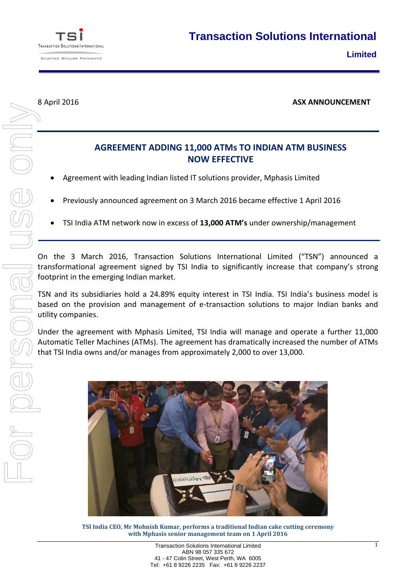

8 April 2016 **ASX ANNOUNCEMENT**

## **AGREEMENT ADDING 11,000 ATMs TO INDIAN ATM BUSINESS NOW EFFECTIVE**

- Agreement with leading Indian listed IT solutions provider, Mphasis Limited
- Previously announced agreement on 3 March 2016 became effective 1 April 2016
- TSI India ATM network now in excess of **13,000 ATM's** under ownership/management

On the 3 March 2016, Transaction Solutions International Limited ("TSN") announced a transformational agreement signed by TSI India to significantly increase that company's strong footprint in the emerging Indian market.

TSN and its subsidiaries hold a 24.89% equity interest in TSI India. TSI India's business model is based on the provision and management of e-transaction solutions to major Indian banks and utility companies.

Under the agreement with Mphasis Limited, TSI India will manage and operate a further 11,000 Automatic Teller Machines (ATMs). The agreement has dramatically increased the number of ATMs that TSI India owns and/or manages from approximately 2,000 to over 13,000.



**TSI India CEO, Mr Mohnish Kumar, performs a traditional Indian cake cutting ceremony with Mphasis senior management team on 1 April 2016**